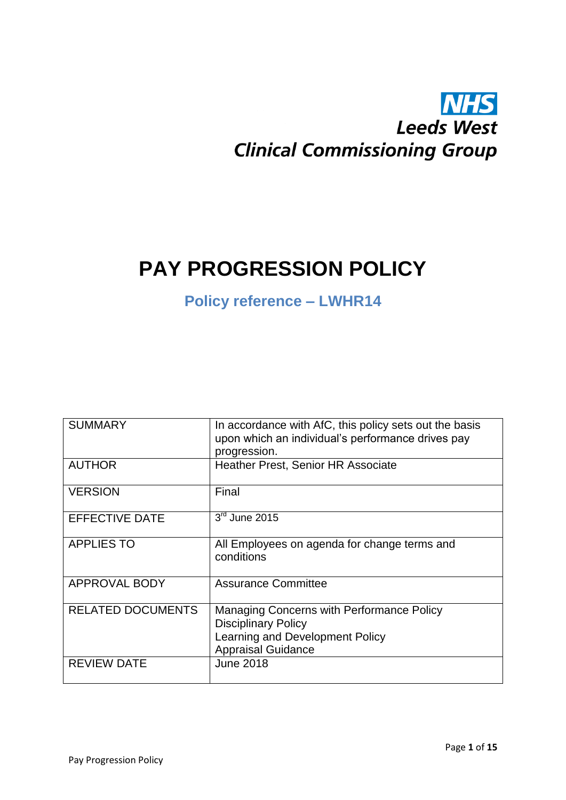# **NHS Leeds West Clinical Commissioning Group**

# **PAY PROGRESSION POLICY**

## **Policy reference – LWHR14**

| <b>SUMMARY</b>           | In accordance with AfC, this policy sets out the basis<br>upon which an individual's performance drives pay<br>progression.             |
|--------------------------|-----------------------------------------------------------------------------------------------------------------------------------------|
| <b>AUTHOR</b>            | <b>Heather Prest, Senior HR Associate</b>                                                                                               |
| <b>VERSION</b>           | Final                                                                                                                                   |
| <b>EFFECTIVE DATE</b>    | 3rd June 2015                                                                                                                           |
| <b>APPLIES TO</b>        | All Employees on agenda for change terms and<br>conditions                                                                              |
| <b>APPROVAL BODY</b>     | <b>Assurance Committee</b>                                                                                                              |
| <b>RELATED DOCUMENTS</b> | Managing Concerns with Performance Policy<br><b>Disciplinary Policy</b><br>Learning and Development Policy<br><b>Appraisal Guidance</b> |
| <b>REVIEW DATE</b>       | <b>June 2018</b>                                                                                                                        |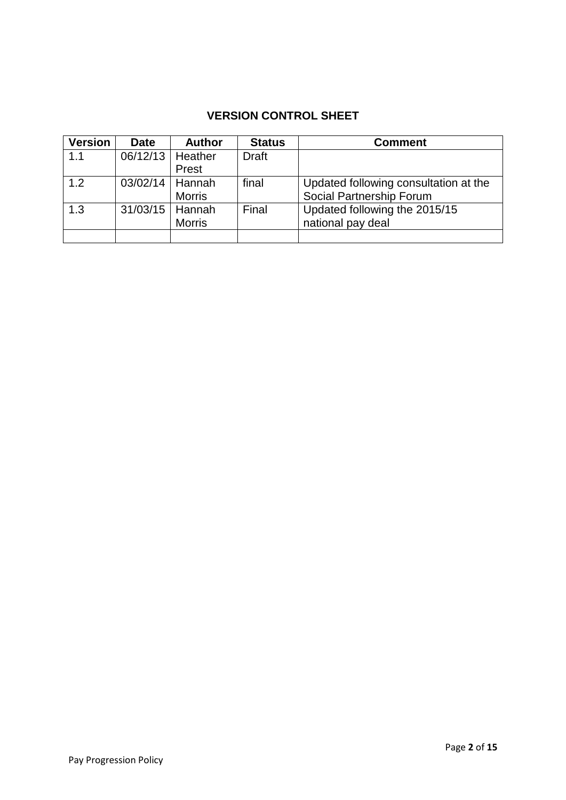### **VERSION CONTROL SHEET**

| <b>Version</b> | <b>Date</b>         | <b>Author</b> | <b>Status</b> | <b>Comment</b>                        |
|----------------|---------------------|---------------|---------------|---------------------------------------|
| 1.1            | 06/12/13            | Heather       | <b>Draft</b>  |                                       |
|                |                     | Prest         |               |                                       |
| 1.2            | $03/02/14$   Hannah |               | final         | Updated following consultation at the |
|                |                     | <b>Morris</b> |               | Social Partnership Forum              |
| 1.3            | 31/03/15            | Hannah        | Final         | Updated following the 2015/15         |
|                |                     | <b>Morris</b> |               | national pay deal                     |
|                |                     |               |               |                                       |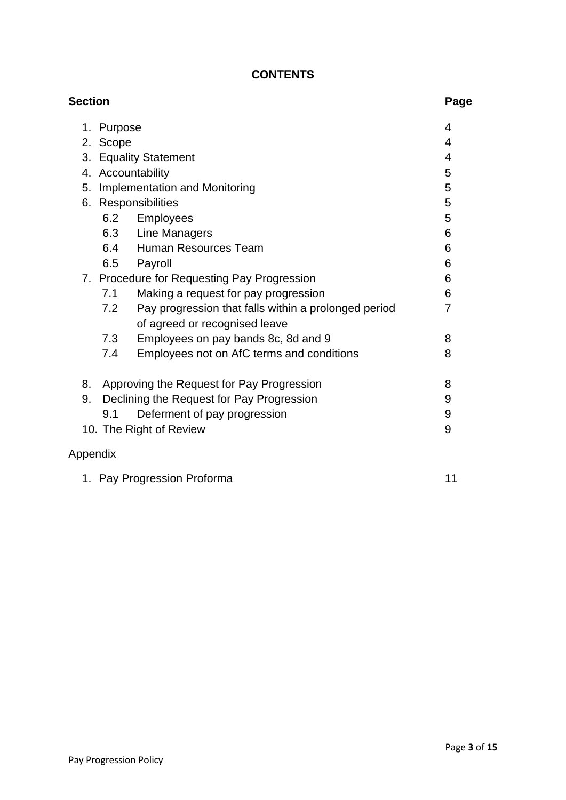#### **CONTENTS**

| <b>Section</b> |          |                                                                                       | Page           |
|----------------|----------|---------------------------------------------------------------------------------------|----------------|
| 1.             | Purpose  |                                                                                       | 4              |
|                | 2. Scope |                                                                                       | 4              |
|                |          | 3. Equality Statement                                                                 | 4              |
|                |          | 4. Accountability                                                                     | 5              |
| 5.             |          | <b>Implementation and Monitoring</b>                                                  | 5              |
|                |          | 6. Responsibilities                                                                   | 5              |
|                | 6.2      | Employees                                                                             | 5              |
|                |          | 6.3 Line Managers                                                                     | 6              |
|                |          | 6.4 Human Resources Team                                                              | 6              |
|                | 6.5      | Payroll                                                                               | 6              |
|                |          | 7. Procedure for Requesting Pay Progression                                           | 6              |
|                | 7.1      | Making a request for pay progression                                                  | 6              |
|                | 7.2      | Pay progression that falls within a prolonged period<br>of agreed or recognised leave | $\overline{7}$ |
|                | 7.3      | Employees on pay bands 8c, 8d and 9                                                   | 8              |
|                | 7.4      | Employees not on AfC terms and conditions                                             | 8              |
| 8.             |          | Approving the Request for Pay Progression                                             | 8              |
| 9.             |          | Declining the Request for Pay Progression                                             | 9              |
|                | 9.1      | Deferment of pay progression                                                          | 9              |
|                |          | 10. The Right of Review                                                               | 9              |
| Appendix       |          |                                                                                       |                |

| 1. Pay Progression Proforma |  |
|-----------------------------|--|
|                             |  |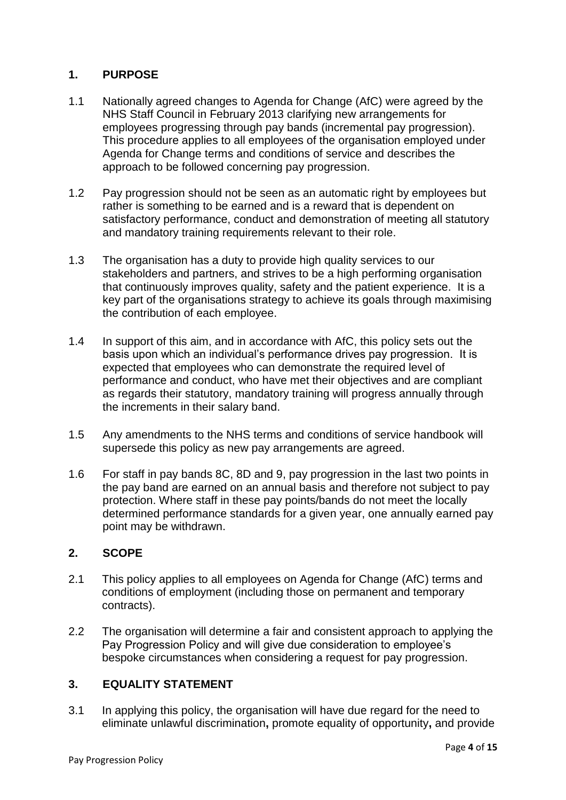#### **1. PURPOSE**

- 1.1 Nationally agreed changes to Agenda for Change (AfC) were agreed by the NHS Staff Council in February 2013 clarifying new arrangements for employees progressing through pay bands (incremental pay progression). This procedure applies to all employees of the organisation employed under Agenda for Change terms and conditions of service and describes the approach to be followed concerning pay progression.
- 1.2 Pay progression should not be seen as an automatic right by employees but rather is something to be earned and is a reward that is dependent on satisfactory performance, conduct and demonstration of meeting all statutory and mandatory training requirements relevant to their role.
- 1.3 The organisation has a duty to provide high quality services to our stakeholders and partners, and strives to be a high performing organisation that continuously improves quality, safety and the patient experience. It is a key part of the organisations strategy to achieve its goals through maximising the contribution of each employee.
- 1.4 In support of this aim, and in accordance with AfC, this policy sets out the basis upon which an individual's performance drives pay progression. It is expected that employees who can demonstrate the required level of performance and conduct, who have met their objectives and are compliant as regards their statutory, mandatory training will progress annually through the increments in their salary band.
- 1.5 Any amendments to the NHS terms and conditions of service handbook will supersede this policy as new pay arrangements are agreed.
- 1.6 For staff in pay bands 8C, 8D and 9, pay progression in the last two points in the pay band are earned on an annual basis and therefore not subject to pay protection. Where staff in these pay points/bands do not meet the locally determined performance standards for a given year, one annually earned pay point may be withdrawn.

#### **2. SCOPE**

- 2.1 This policy applies to all employees on Agenda for Change (AfC) terms and conditions of employment (including those on permanent and temporary contracts).
- 2.2 The organisation will determine a fair and consistent approach to applying the Pay Progression Policy and will give due consideration to employee's bespoke circumstances when considering a request for pay progression.

#### **3. EQUALITY STATEMENT**

3.1 In applying this policy, the organisation will have due regard for the need to eliminate unlawful discrimination**,** promote equality of opportunity**,** and provide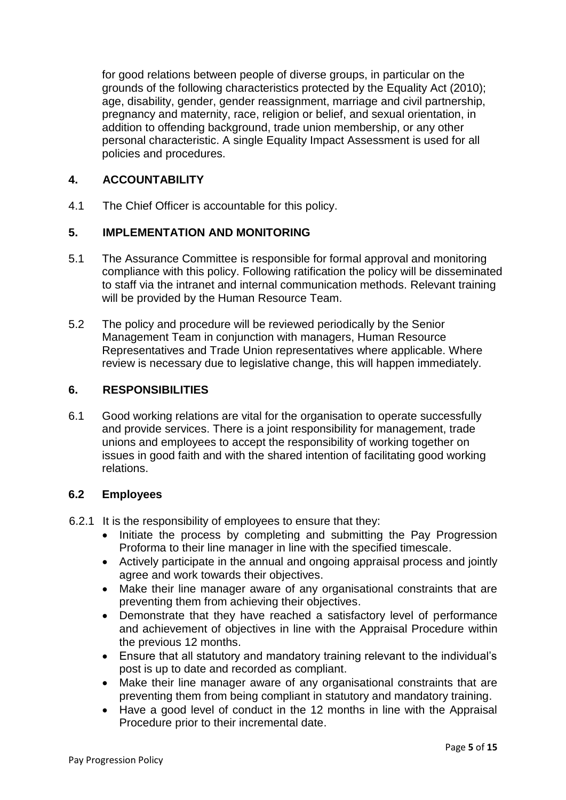for good relations between people of diverse groups, in particular on the grounds of the following characteristics protected by the Equality Act (2010); age, disability, gender, gender reassignment, marriage and civil partnership, pregnancy and maternity, race, religion or belief, and sexual orientation, in addition to offending background, trade union membership, or any other personal characteristic. A single Equality Impact Assessment is used for all policies and procedures.

#### **4. ACCOUNTABILITY**

4.1 The Chief Officer is accountable for this policy.

#### **5. IMPLEMENTATION AND MONITORING**

- 5.1 The Assurance Committee is responsible for formal approval and monitoring compliance with this policy. Following ratification the policy will be disseminated to staff via the intranet and internal communication methods. Relevant training will be provided by the Human Resource Team.
- 5.2 The policy and procedure will be reviewed periodically by the Senior Management Team in conjunction with managers, Human Resource Representatives and Trade Union representatives where applicable. Where review is necessary due to legislative change, this will happen immediately.

#### **6. RESPONSIBILITIES**

6.1 Good working relations are vital for the organisation to operate successfully and provide services. There is a joint responsibility for management, trade unions and employees to accept the responsibility of working together on issues in good faith and with the shared intention of facilitating good working relations.

#### **6.2 Employees**

- 6.2.1 It is the responsibility of employees to ensure that they:
	- Initiate the process by completing and submitting the Pay Progression Proforma to their line manager in line with the specified timescale.
	- Actively participate in the annual and ongoing appraisal process and jointly agree and work towards their objectives.
	- Make their line manager aware of any organisational constraints that are preventing them from achieving their objectives.
	- Demonstrate that they have reached a satisfactory level of performance and achievement of objectives in line with the Appraisal Procedure within the previous 12 months.
	- Ensure that all statutory and mandatory training relevant to the individual's post is up to date and recorded as compliant.
	- Make their line manager aware of any organisational constraints that are preventing them from being compliant in statutory and mandatory training.
	- Have a good level of conduct in the 12 months in line with the Appraisal Procedure prior to their incremental date.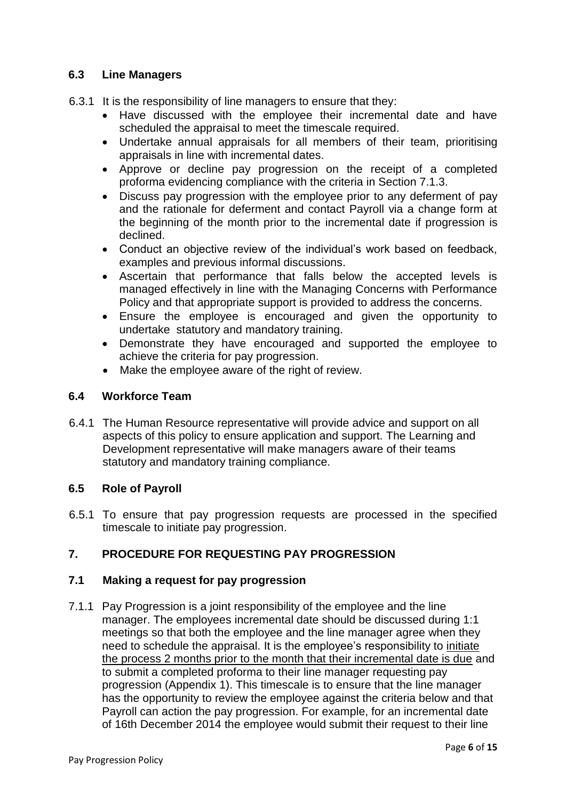#### **6.3 Line Managers**

- 6.3.1 It is the responsibility of line managers to ensure that they:
	- Have discussed with the employee their incremental date and have scheduled the appraisal to meet the timescale required.
	- Undertake annual appraisals for all members of their team, prioritising appraisals in line with incremental dates.
	- Approve or decline pay progression on the receipt of a completed proforma evidencing compliance with the criteria in Section 7.1.3.
	- Discuss pay progression with the employee prior to any deferment of pay and the rationale for deferment and contact Payroll via a change form at the beginning of the month prior to the incremental date if progression is declined.
	- Conduct an objective review of the individual's work based on feedback, examples and previous informal discussions.
	- Ascertain that performance that falls below the accepted levels is managed effectively in line with the Managing Concerns with Performance Policy and that appropriate support is provided to address the concerns.
	- Ensure the employee is encouraged and given the opportunity to undertake statutory and mandatory training.
	- Demonstrate they have encouraged and supported the employee to achieve the criteria for pay progression.
	- Make the employee aware of the right of review.

#### **6.4 Workforce Team**

6.4.1 The Human Resource representative will provide advice and support on all aspects of this policy to ensure application and support. The Learning and Development representative will make managers aware of their teams statutory and mandatory training compliance.

#### **6.5 Role of Payroll**

6.5.1 To ensure that pay progression requests are processed in the specified timescale to initiate pay progression.

#### **7. PROCEDURE FOR REQUESTING PAY PROGRESSION**

#### **7.1 Making a request for pay progression**

7.1.1 Pay Progression is a joint responsibility of the employee and the line manager. The employees incremental date should be discussed during 1:1 meetings so that both the employee and the line manager agree when they need to schedule the appraisal. It is the employee's responsibility to initiate the process 2 months prior to the month that their incremental date is due and to submit a completed proforma to their line manager requesting pay progression (Appendix 1). This timescale is to ensure that the line manager has the opportunity to review the employee against the criteria below and that Payroll can action the pay progression. For example, for an incremental date of 16th December 2014 the employee would submit their request to their line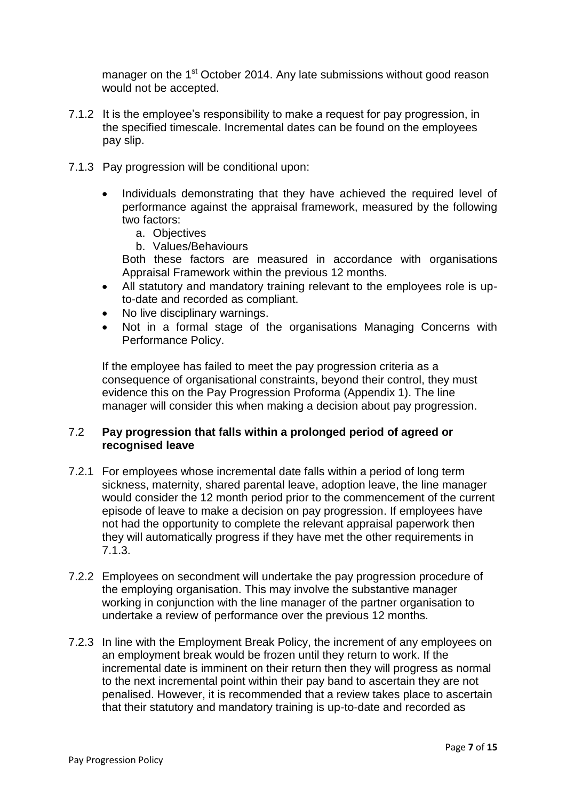manager on the 1<sup>st</sup> October 2014. Any late submissions without good reason would not be accepted.

- 7.1.2 It is the employee's responsibility to make a request for pay progression, in the specified timescale. Incremental dates can be found on the employees pay slip.
- 7.1.3 Pay progression will be conditional upon:
	- Individuals demonstrating that they have achieved the required level of performance against the appraisal framework, measured by the following two factors:
		- a. Objectives
		- b. Values/Behaviours

Both these factors are measured in accordance with organisations Appraisal Framework within the previous 12 months.

- All statutory and mandatory training relevant to the employees role is upto-date and recorded as compliant.
- No live disciplinary warnings.
- Not in a formal stage of the organisations Managing Concerns with Performance Policy.

If the employee has failed to meet the pay progression criteria as a consequence of organisational constraints, beyond their control, they must evidence this on the Pay Progression Proforma (Appendix 1). The line manager will consider this when making a decision about pay progression.

#### 7.2 **Pay progression that falls within a prolonged period of agreed or recognised leave**

- 7.2.1 For employees whose incremental date falls within a period of long term sickness, maternity, shared parental leave, adoption leave, the line manager would consider the 12 month period prior to the commencement of the current episode of leave to make a decision on pay progression. If employees have not had the opportunity to complete the relevant appraisal paperwork then they will automatically progress if they have met the other requirements in 7.1.3.
- 7.2.2 Employees on secondment will undertake the pay progression procedure of the employing organisation. This may involve the substantive manager working in conjunction with the line manager of the partner organisation to undertake a review of performance over the previous 12 months.
- 7.2.3 In line with the Employment Break Policy, the increment of any employees on an employment break would be frozen until they return to work. If the incremental date is imminent on their return then they will progress as normal to the next incremental point within their pay band to ascertain they are not penalised. However, it is recommended that a review takes place to ascertain that their statutory and mandatory training is up-to-date and recorded as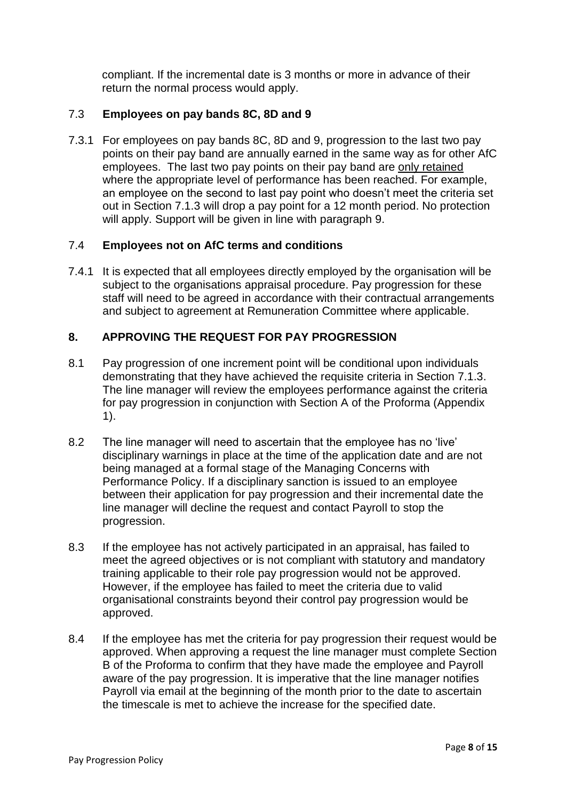compliant. If the incremental date is 3 months or more in advance of their return the normal process would apply.

#### 7.3 **Employees on pay bands 8C, 8D and 9**

7.3.1 For employees on pay bands 8C, 8D and 9, progression to the last two pay points on their pay band are annually earned in the same way as for other AfC employees. The last two pay points on their pay band are only retained where the appropriate level of performance has been reached. For example, an employee on the second to last pay point who doesn't meet the criteria set out in Section 7.1.3 will drop a pay point for a 12 month period. No protection will apply. Support will be given in line with paragraph 9.

#### 7.4 **Employees not on AfC terms and conditions**

7.4.1 It is expected that all employees directly employed by the organisation will be subject to the organisations appraisal procedure. Pay progression for these staff will need to be agreed in accordance with their contractual arrangements and subject to agreement at Remuneration Committee where applicable.

#### **8. APPROVING THE REQUEST FOR PAY PROGRESSION**

- 8.1 Pay progression of one increment point will be conditional upon individuals demonstrating that they have achieved the requisite criteria in Section 7.1.3. The line manager will review the employees performance against the criteria for pay progression in conjunction with Section A of the Proforma (Appendix 1).
- 8.2 The line manager will need to ascertain that the employee has no 'live' disciplinary warnings in place at the time of the application date and are not being managed at a formal stage of the Managing Concerns with Performance Policy. If a disciplinary sanction is issued to an employee between their application for pay progression and their incremental date the line manager will decline the request and contact Payroll to stop the progression.
- 8.3 If the employee has not actively participated in an appraisal, has failed to meet the agreed objectives or is not compliant with statutory and mandatory training applicable to their role pay progression would not be approved. However, if the employee has failed to meet the criteria due to valid organisational constraints beyond their control pay progression would be approved.
- 8.4 If the employee has met the criteria for pay progression their request would be approved. When approving a request the line manager must complete Section B of the Proforma to confirm that they have made the employee and Payroll aware of the pay progression. It is imperative that the line manager notifies Payroll via email at the beginning of the month prior to the date to ascertain the timescale is met to achieve the increase for the specified date.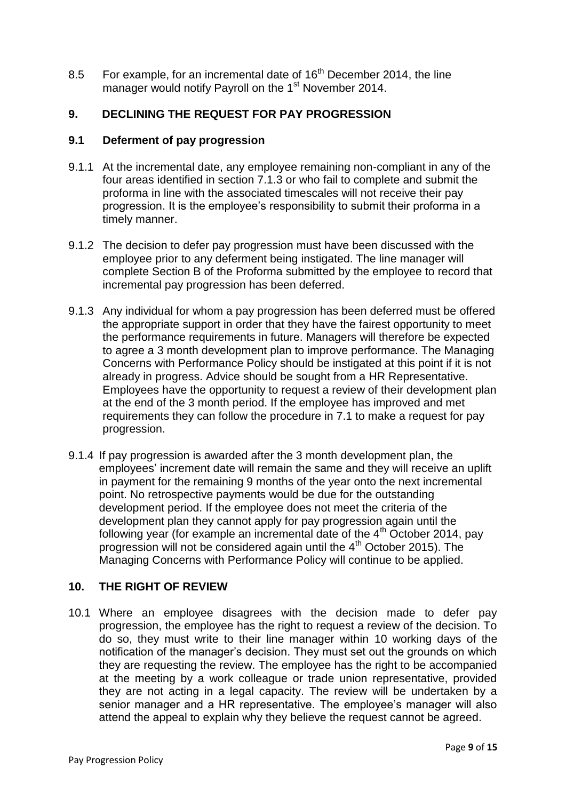8.5 For example, for an incremental date of 16<sup>th</sup> December 2014, the line manager would notify Payroll on the 1<sup>st</sup> November 2014.

#### **9. DECLINING THE REQUEST FOR PAY PROGRESSION**

#### **9.1 Deferment of pay progression**

- 9.1.1 At the incremental date, any employee remaining non-compliant in any of the four areas identified in section 7.1.3 or who fail to complete and submit the proforma in line with the associated timescales will not receive their pay progression. It is the employee's responsibility to submit their proforma in a timely manner.
- 9.1.2 The decision to defer pay progression must have been discussed with the employee prior to any deferment being instigated. The line manager will complete Section B of the Proforma submitted by the employee to record that incremental pay progression has been deferred.
- 9.1.3 Any individual for whom a pay progression has been deferred must be offered the appropriate support in order that they have the fairest opportunity to meet the performance requirements in future. Managers will therefore be expected to agree a 3 month development plan to improve performance. The Managing Concerns with Performance Policy should be instigated at this point if it is not already in progress. Advice should be sought from a HR Representative. Employees have the opportunity to request a review of their development plan at the end of the 3 month period. If the employee has improved and met requirements they can follow the procedure in 7.1 to make a request for pay progression.
- 9.1.4 If pay progression is awarded after the 3 month development plan, the employees' increment date will remain the same and they will receive an uplift in payment for the remaining 9 months of the year onto the next incremental point. No retrospective payments would be due for the outstanding development period. If the employee does not meet the criteria of the development plan they cannot apply for pay progression again until the following year (for example an incremental date of the 4<sup>th</sup> October 2014, pay progression will not be considered again until the 4<sup>th</sup> October 2015). The Managing Concerns with Performance Policy will continue to be applied.

#### **10. THE RIGHT OF REVIEW**

10.1 Where an employee disagrees with the decision made to defer pay progression, the employee has the right to request a review of the decision. To do so, they must write to their line manager within 10 working days of the notification of the manager's decision. They must set out the grounds on which they are requesting the review. The employee has the right to be accompanied at the meeting by a work colleague or trade union representative, provided they are not acting in a legal capacity. The review will be undertaken by a senior manager and a HR representative. The employee's manager will also attend the appeal to explain why they believe the request cannot be agreed.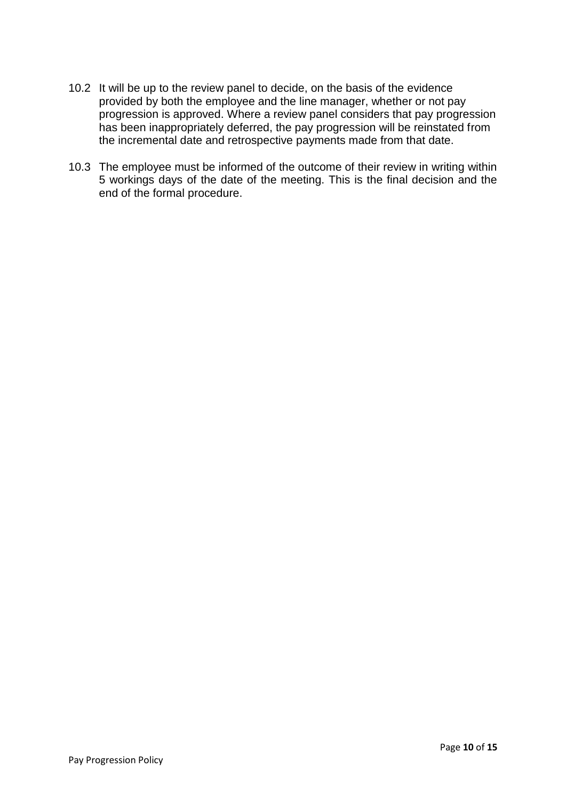- 10.2 It will be up to the review panel to decide, on the basis of the evidence provided by both the employee and the line manager, whether or not pay progression is approved. Where a review panel considers that pay progression has been inappropriately deferred, the pay progression will be reinstated from the incremental date and retrospective payments made from that date.
- 10.3 The employee must be informed of the outcome of their review in writing within 5 workings days of the date of the meeting. This is the final decision and the end of the formal procedure.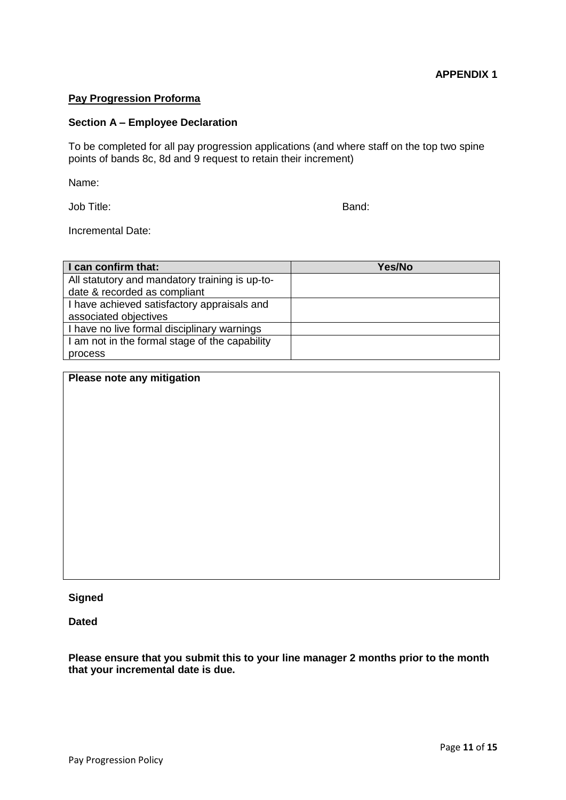#### **Pay Progression Proforma**

#### **Section A – Employee Declaration**

To be completed for all pay progression applications (and where staff on the top two spine points of bands 8c, 8d and 9 request to retain their increment)

Name:

Job Title: Band:

Incremental Date:

| I can confirm that:                            | Yes/No |
|------------------------------------------------|--------|
| All statutory and mandatory training is up-to- |        |
| date & recorded as compliant                   |        |
| I have achieved satisfactory appraisals and    |        |
| associated objectives                          |        |
| I have no live formal disciplinary warnings    |        |
| I am not in the formal stage of the capability |        |
| process                                        |        |

#### **Please note any mitigation**

**Signed**

**Dated**

**Please ensure that you submit this to your line manager 2 months prior to the month that your incremental date is due.**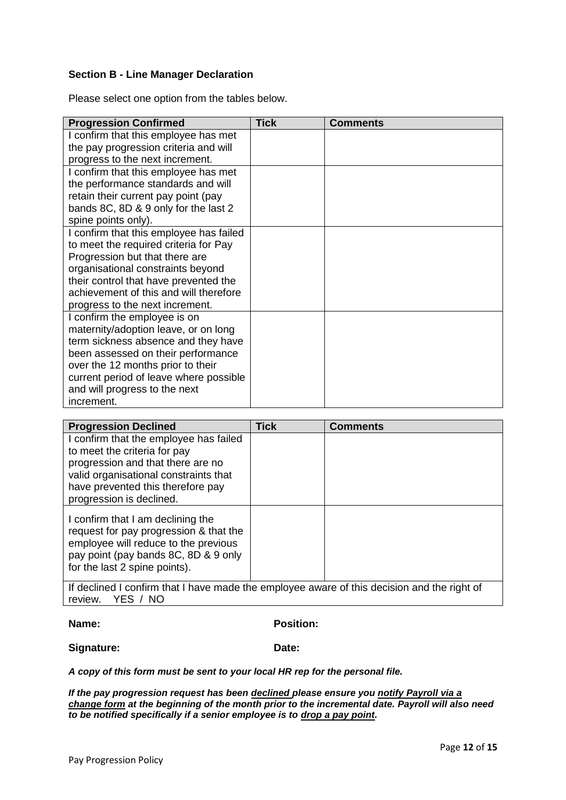#### **Section B - Line Manager Declaration**

Please select one option from the tables below.

| <b>Progression Confirmed</b>            | <b>Tick</b> | <b>Comments</b> |
|-----------------------------------------|-------------|-----------------|
| I confirm that this employee has met    |             |                 |
| the pay progression criteria and will   |             |                 |
| progress to the next increment.         |             |                 |
| I confirm that this employee has met    |             |                 |
| the performance standards and will      |             |                 |
| retain their current pay point (pay     |             |                 |
| bands 8C, 8D & 9 only for the last 2    |             |                 |
| spine points only).                     |             |                 |
| I confirm that this employee has failed |             |                 |
| to meet the required criteria for Pay   |             |                 |
| Progression but that there are          |             |                 |
| organisational constraints beyond       |             |                 |
| their control that have prevented the   |             |                 |
| achievement of this and will therefore  |             |                 |
| progress to the next increment.         |             |                 |
| I confirm the employee is on            |             |                 |
| maternity/adoption leave, or on long    |             |                 |
| term sickness absence and they have     |             |                 |
| been assessed on their performance      |             |                 |
| over the 12 months prior to their       |             |                 |
| current period of leave where possible  |             |                 |
| and will progress to the next           |             |                 |
| increment.                              |             |                 |

| <b>Progression Declined</b>                                                                                                                                                                                                                                                                | <b>Tick</b> | <b>Comments</b> |
|--------------------------------------------------------------------------------------------------------------------------------------------------------------------------------------------------------------------------------------------------------------------------------------------|-------------|-----------------|
| I confirm that the employee has failed<br>to meet the criteria for pay<br>progression and that there are no<br>valid organisational constraints that<br>have prevented this therefore pay<br>progression is declined.                                                                      |             |                 |
| I confirm that I am declining the<br>request for pay progression & that the<br>employee will reduce to the previous<br>pay point (pay bands 8C, 8D & 9 only<br>for the last 2 spine points).<br>If declined Leaptirm that Lhove made the employee quiere of this decision and the right of |             |                 |

If declined I confirm that I have made the employee aware of this decision and the right of review. YES / NO YES / NO

**Name: Position:**

**Signature: Date:**

*A copy of this form must be sent to your local HR rep for the personal file.*

*If the pay progression request has been declined please ensure you notify Payroll via a change form at the beginning of the month prior to the incremental date. Payroll will also need to be notified specifically if a senior employee is to drop a pay point.*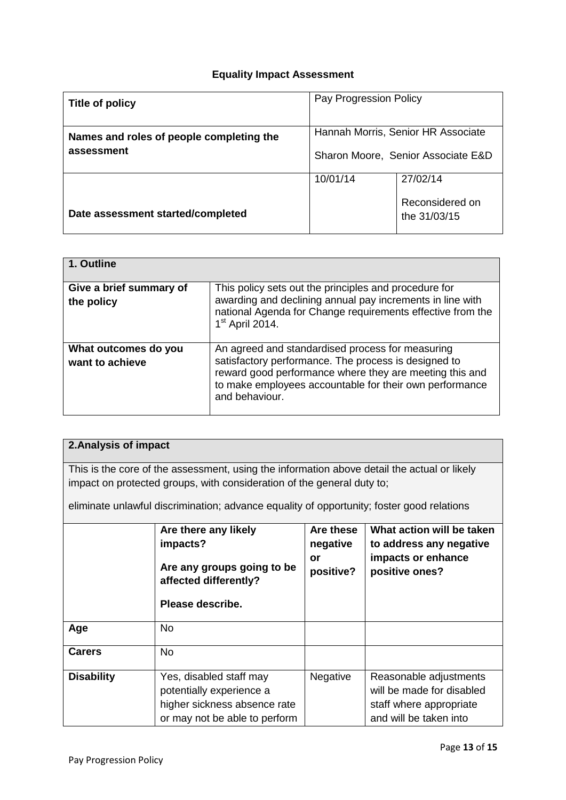#### **Equality Impact Assessment**

| Title of policy                          | Pay Progression Policy             |                                 |  |
|------------------------------------------|------------------------------------|---------------------------------|--|
| Names and roles of people completing the | Hannah Morris, Senior HR Associate |                                 |  |
| assessment                               | Sharon Moore, Senior Associate E&D |                                 |  |
|                                          | 10/01/14                           | 27/02/14                        |  |
| Date assessment started/completed        |                                    | Reconsidered on<br>the 31/03/15 |  |

| 1. Outline                              |                                                                                                                                                                                                                                                  |
|-----------------------------------------|--------------------------------------------------------------------------------------------------------------------------------------------------------------------------------------------------------------------------------------------------|
| Give a brief summary of<br>the policy   | This policy sets out the principles and procedure for<br>awarding and declining annual pay increments in line with<br>national Agenda for Change requirements effective from the<br>$1st$ April 2014.                                            |
| What outcomes do you<br>want to achieve | An agreed and standardised process for measuring<br>satisfactory performance. The process is designed to<br>reward good performance where they are meeting this and<br>to make employees accountable for their own performance<br>and behaviour. |

#### **2.Analysis of impact**

This is the core of the assessment, using the information above detail the actual or likely impact on protected groups, with consideration of the general duty to;

eliminate unlawful discrimination; advance equality of opportunity; foster good relations

|                   | Are there any likely<br>impacts?<br>Are any groups going to be<br>affected differently?<br>Please describe.          | Are these<br>negative<br>or<br>positive? | What action will be taken<br>to address any negative<br>impacts or enhance<br>positive ones?             |
|-------------------|----------------------------------------------------------------------------------------------------------------------|------------------------------------------|----------------------------------------------------------------------------------------------------------|
| Age               | <b>No</b>                                                                                                            |                                          |                                                                                                          |
| <b>Carers</b>     | <b>No</b>                                                                                                            |                                          |                                                                                                          |
| <b>Disability</b> | Yes, disabled staff may<br>potentially experience a<br>higher sickness absence rate<br>or may not be able to perform | Negative                                 | Reasonable adjustments<br>will be made for disabled<br>staff where appropriate<br>and will be taken into |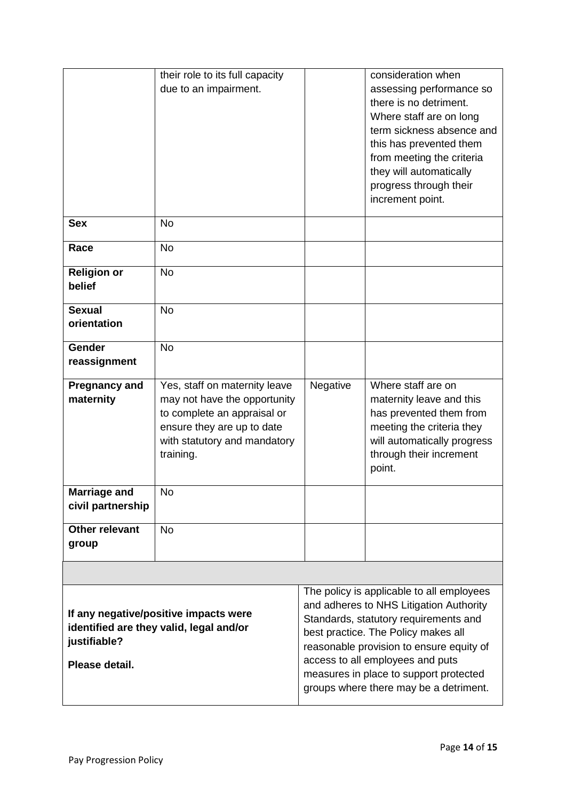|                                                                                                                    | their role to its full capacity<br>due to an impairment.                                                                                                                |                                                                                                                                                                                                                                                                                                                                          | consideration when<br>assessing performance so<br>there is no detriment.<br>Where staff are on long<br>term sickness absence and<br>this has prevented them<br>from meeting the criteria<br>they will automatically<br>progress through their<br>increment point. |
|--------------------------------------------------------------------------------------------------------------------|-------------------------------------------------------------------------------------------------------------------------------------------------------------------------|------------------------------------------------------------------------------------------------------------------------------------------------------------------------------------------------------------------------------------------------------------------------------------------------------------------------------------------|-------------------------------------------------------------------------------------------------------------------------------------------------------------------------------------------------------------------------------------------------------------------|
| <b>Sex</b>                                                                                                         | <b>No</b>                                                                                                                                                               |                                                                                                                                                                                                                                                                                                                                          |                                                                                                                                                                                                                                                                   |
| Race                                                                                                               | <b>No</b>                                                                                                                                                               |                                                                                                                                                                                                                                                                                                                                          |                                                                                                                                                                                                                                                                   |
| <b>Religion or</b><br>belief                                                                                       | <b>No</b>                                                                                                                                                               |                                                                                                                                                                                                                                                                                                                                          |                                                                                                                                                                                                                                                                   |
| <b>Sexual</b><br>orientation                                                                                       | <b>No</b>                                                                                                                                                               |                                                                                                                                                                                                                                                                                                                                          |                                                                                                                                                                                                                                                                   |
| Gender<br>reassignment                                                                                             | <b>No</b>                                                                                                                                                               |                                                                                                                                                                                                                                                                                                                                          |                                                                                                                                                                                                                                                                   |
| <b>Pregnancy and</b><br>maternity                                                                                  | Yes, staff on maternity leave<br>may not have the opportunity<br>to complete an appraisal or<br>ensure they are up to date<br>with statutory and mandatory<br>training. | Negative                                                                                                                                                                                                                                                                                                                                 | Where staff are on<br>maternity leave and this<br>has prevented them from<br>meeting the criteria they<br>will automatically progress<br>through their increment<br>point.                                                                                        |
| <b>Marriage and</b><br>civil partnership                                                                           | No                                                                                                                                                                      |                                                                                                                                                                                                                                                                                                                                          |                                                                                                                                                                                                                                                                   |
| <b>Other relevant</b><br>group                                                                                     | <b>No</b>                                                                                                                                                               |                                                                                                                                                                                                                                                                                                                                          |                                                                                                                                                                                                                                                                   |
|                                                                                                                    |                                                                                                                                                                         |                                                                                                                                                                                                                                                                                                                                          |                                                                                                                                                                                                                                                                   |
| If any negative/positive impacts were<br>identified are they valid, legal and/or<br>justifiable?<br>Please detail. |                                                                                                                                                                         | The policy is applicable to all employees<br>and adheres to NHS Litigation Authority<br>Standards, statutory requirements and<br>best practice. The Policy makes all<br>reasonable provision to ensure equity of<br>access to all employees and puts<br>measures in place to support protected<br>groups where there may be a detriment. |                                                                                                                                                                                                                                                                   |